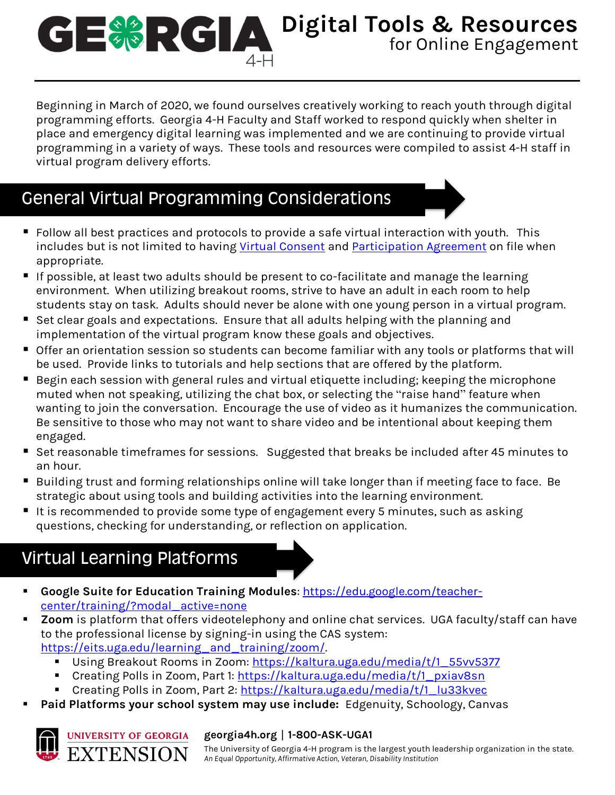### **Digital Tools & Resources** for Online Engagement 4-H

Beginning in March of 2020, we found ourselves creatively working to reach youth through digital programming efforts. Georgia 4-H Faculty and Staff worked to respond quickly when shelter in place and emergency digital learning was implemented and we are continuing to provide virtual programming in a variety of ways. These tools and resources were compiled to assist 4-H staff in virtual program delivery efforts.

# General Virtual Programming Considerations

- Follow all best practices and protocols to provide a safe virtual interaction with youth. This includes but is not limited to having [Virtual Consent](https://secure.georgia4h.org/documents/4_H_Electronic_Consent_Minor.pdf) and [Participation Agreement](https://secure.georgia4h.org/documents/4_H_Electronic_Consent_Minor.pdf) on file when appropriate.
- If possible, at least two adults should be present to co-facilitate and manage the learning environment. When utilizing breakout rooms, strive to have an adult in each room to help students stay on task. Adults should never be alone with one young person in a virtual program.
- Set clear goals and expectations. Ensure that all adults helping with the planning and implementation of the virtual program know these goals and objectives.
- Offer an orientation session so students can become familiar with any tools or platforms that will be used. Provide links to tutorials and help sections that are offered by the platform.
- Begin each session with general rules and virtual etiquette including; keeping the microphone muted when not speaking, utilizing the chat box, or selecting the "raise hand" feature when wanting to join the conversation. Encourage the use of video as it humanizes the communication. Be sensitive to those who may not want to share video and be intentional about keeping them engaged.
- Set reasonable timeframes for sessions. Suggested that breaks be included after 45 minutes to an hour.
- Building trust and forming relationships online will take longer than if meeting face to face. Be strategic about using tools and building activities into the learning environment.
- It is recommended to provide some type of engagement every 5 minutes, such as asking questions, checking for understanding, or reflection on application.

# Virtual Learning Platforms

- Google Suite for Education Training Modules: [https://edu.google.com/teacher](https://edu.google.com/teacher-center/training/?modal_active=none)[center/training/?modal\\_active=none](https://edu.google.com/teacher-center/training/?modal_active=none)
- **Zoom** is platform that offers videotelephony and online chat services. UGA faculty/staff can have to the professional license by signing-in using the CAS system: [https://eits.uga.edu/learning\\_and\\_training/zoom/.](https://eits.uga.edu/learning_and_training/zoom/)
	- Using Breakout Rooms in Zoom: [https://kaltura.uga.edu/media/t/1\\_55vv5377](https://kaltura.uga.edu/media/t/1_55vv5377)
	- Creating Polls in Zoom, Part 1: [https://kaltura.uga.edu/media/t/1\\_pxiav8sn](https://kaltura.uga.edu/media/t/1_pxiav8sn)
	- Creating Polls in Zoom, Part 2: [https://kaltura.uga.edu/media/t/1\\_lu33kvec](https://kaltura.uga.edu/media/t/1_lu33kvec)
- Paid Platforms your school system may use include: Edgenuity, Schoology, Canvas



#### **georgia4h.org** | **1-800-ASK-UGA1**

The University of Georgia 4-H program is the largest youth leadership organization in the state. *An Equal Opportunity, Affirmative Action, Veteran, Disability Institution*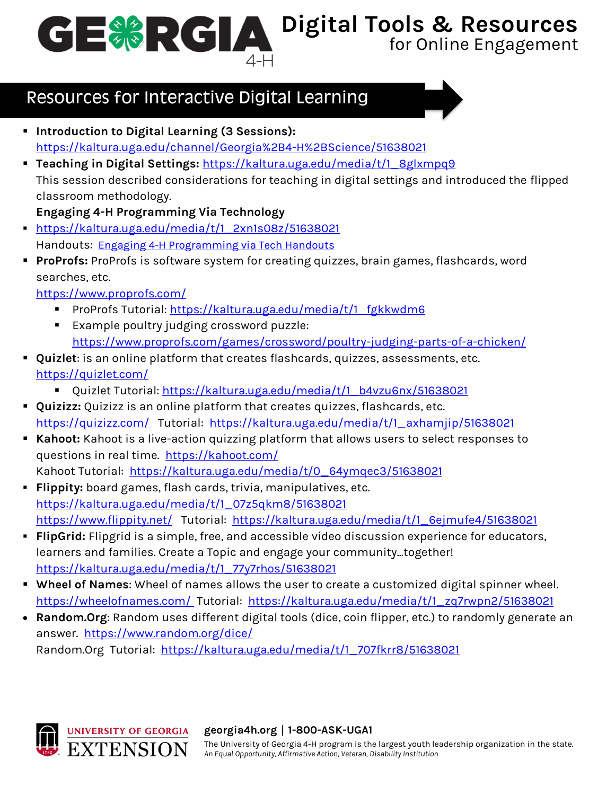**Digital Tools & Resources**

for Online Engagement

# Resources for Interactive Digital Learning

- **Introduction to Digital Learning (3 Sessions):** <https://kaltura.uga.edu/channel/Georgia%2B4-H%2BScience/51638021>
- **Teaching in Digital Settings:** [https://kaltura.uga.edu/media/t/1\\_8glxmpq9](https://kaltura.uga.edu/media/t/1_8glxmpq9) This session described considerations for teaching in digital settings and introduced the flipped classroom methodology.

#### **Engaging 4-H Programming Via Technology**

- [https://kaltura.uga.edu/media/t/1\\_2xn1s08z/51638021](https://kaltura.uga.edu/media/t/1_2xn1s08z/51638021) Handouts: [Engaging 4-H Programming via Tech Handouts](https://outlookuga-my.sharepoint.com/:f:/g/personal/kaseyb_uga_edu/Er3QuQpxyeNMm33kEw2dU8EBmbHVjADDoIcNZuxPp8tBtg?e=UzKwZN)
- **ProProfs:** ProProfs is software system for creating quizzes, brain games, flashcards, word searches, etc.

<https://www.proprofs.com/>

- ProProfs Tutorial: [https://kaltura.uga.edu/media/t/1\\_fgkkwdm6](https://kaltura.uga.edu/media/t/1_fgkkwdm6)
- Example poultry judging crossword puzzle: <https://www.proprofs.com/games/crossword/poultry-judging-parts-of-a-chicken/>
- **Quizlet**: is an online platform that creates flashcards, quizzes, assessments, etc. <https://quizlet.com/>
	- Quizlet Tutorial: [https://kaltura.uga.edu/media/t/1\\_b4vzu6nx/51638021](https://kaltura.uga.edu/media/t/1_b4vzu6nx/51638021)
- **Quizizz:** Quizizz is an online platform that creates quizzes, flashcards, etc. <https://quizizz.com/> Tutorial: [https://kaltura.uga.edu/media/t/1\\_axhamjip/51638021](https://kaltura.uga.edu/media/t/1_axhamjip/51638021)
- Kahoot: Kahoot is a live-action quizzing platform that allows users to select responses to questions in real time. <https://kahoot.com/> Kahoot Tutorial: [https://kaltura.uga.edu/media/t/0\\_64ymqec3/51638021](https://kaltura.uga.edu/media/t/0_64ymqec3/51638021)
- **Flippity:** board games, flash cards, trivia, manipulatives, etc. [https://kaltura.uga.edu/media/t/1\\_07z5qkm8/51638021](https://kaltura.uga.edu/media/t/1_07z5qkm8/51638021) <https://www.flippity.net/>Tutorial: [https://kaltura.uga.edu/media/t/1\\_6ejmufe4/51638021](https://kaltura.uga.edu/media/t/1_6ejmufe4/51638021)
- **FlipGrid:** Flipgrid is a simple, free, and accessible video discussion experience for educators, learners and families. Create a Topic and engage your community...together! [https://kaltura.uga.edu/media/t/1\\_77y7rhos/51638021](https://kaltura.uga.edu/media/t/1_77y7rhos/51638021)
- **Wheel of Names**: Wheel of names allows the user to create a customized digital spinner wheel. <https://wheelofnames.com/> Tutorial: [https://kaltura.uga.edu/media/t/1\\_zq7rwpn2/51638021](https://kaltura.uga.edu/media/t/1_zq7rwpn2/51638021)
- **Random.Org**: Random uses different digital tools (dice, coin flipper, etc.) to randomly generate an answer. <https://www.random.org/dice/> Random.Org Tutorial: [https://kaltura.uga.edu/media/t/1\\_707fkrr8/51638021](https://kaltura.uga.edu/media/t/1_707fkrr8/51638021)



#### **georgia4h.org** | **1-800-ASK-UGA1**

The University of Georgia 4-H program is the largest youth leadership organization in the state. *An Equal Opportunity, Affirmative Action, Veteran, Disability Institution*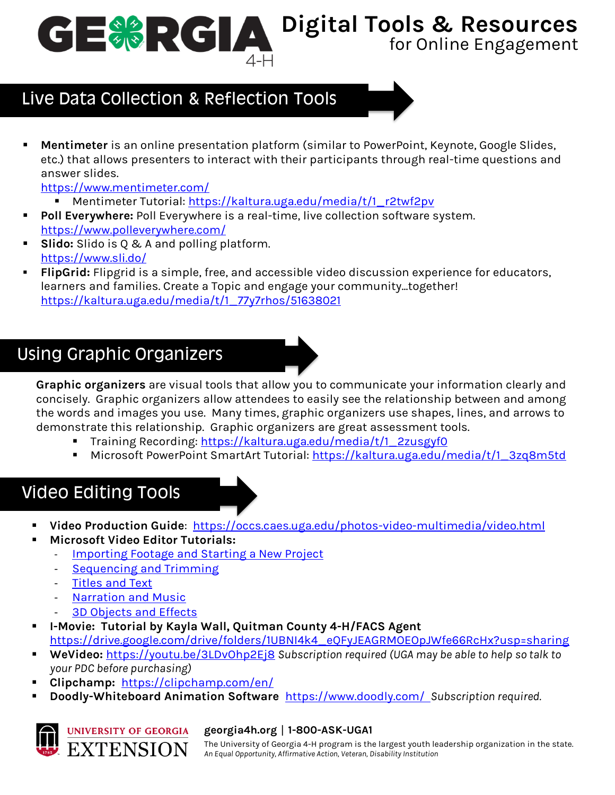**Digital Tools & Resources**

### for Online Engagement

# Live Data Collection & Reflection Tools

**Mentimeter** is an online presentation platform (similar to PowerPoint, Keynote, Google Slides, etc.) that allows presenters to interact with their participants through real-time questions and answer slides.

<https://www.mentimeter.com/>

- Mentimeter Tutorial: [https://kaltura.uga.edu/media/t/1\\_r2twf2pv](https://kaltura.uga.edu/media/t/1_r2twf2pv)
- Poll Everywhere: Poll Everywhere is a real-time, live collection software system. <https://www.polleverywhere.com/>
- **Slido:** Slido is 0 & A and polling platform. <https://www.sli.do/>
- FlipGrid: Flipgrid is a simple, free, and accessible video discussion experience for educators, learners and families. Create a Topic and engage your community...together! [https://kaltura.uga.edu/media/t/1\\_77y7rhos/51638021](https://kaltura.uga.edu/media/t/1_77y7rhos/51638021)

# Using Graphic Organizers

**Graphic organizers** are visual tools that allow you to communicate your information clearly and concisely. Graphic organizers allow attendees to easily see the relationship between and among the words and images you use. Many times, graphic organizers use shapes, lines, and arrows to demonstrate this relationship. Graphic organizers are great assessment tools.

- Training Recording: [https://kaltura.uga.edu/media/t/1\\_2zusgyf0](https://kaltura.uga.edu/media/t/1_2zusgyf0)
- Microsoft PowerPoint SmartArt Tutorial: [https://kaltura.uga.edu/media/t/1\\_3zq8m5td](https://kaltura.uga.edu/media/t/1_3zq8m5td)

### Video Editing Tools

- **Video Production Guide**: <https://occs.caes.uga.edu/photos-video-multimedia/video.html>
- **Microsoft Video Editor Tutorials:** 
	- [Importing Footage and Starting a New Project](https://youtu.be/30s-vPccI8A)
	- [Sequencing and Trimming](https://youtu.be/XEyn2NYVZqw)
	- [Titles and Text](https://youtu.be/5LM43thAjhI)
	- [Narration and Music](https://youtu.be/ns0JPLpN8t8)
	- [3D Objects and Effects](https://youtu.be/Vo4pXQO7eZc)
- **I-Movie: Tutorial by Kayla Wall, Quitman County 4-H/FACS Agent**  [https://drive.google.com/drive/folders/1UBNI4k4\\_eQFyJEAGRMOEOpJWfe66RcHx?usp=sharing](https://drive.google.com/drive/folders/1UBNI4k4_eQFyJEAGRMOEOpJWfe66RcHx?usp=sharing)
- WeVideo: <https://youtu.be/3LDvOhp2Ej8> Subscription required (UGA may be able to help so talk to *your PDC before purchasing)*
- **Clipchamp:** <https://clipchamp.com/en/>
- **Doodly-Whiteboard Animation Software** <https://www.doodly.com/>*Subscription required.*



#### **georgia4h.org** | **1-800-ASK-UGA1**

The University of Georgia 4-H program is the largest youth leadership organization in the state. *An Equal Opportunity, Affirmative Action, Veteran, Disability Institution*